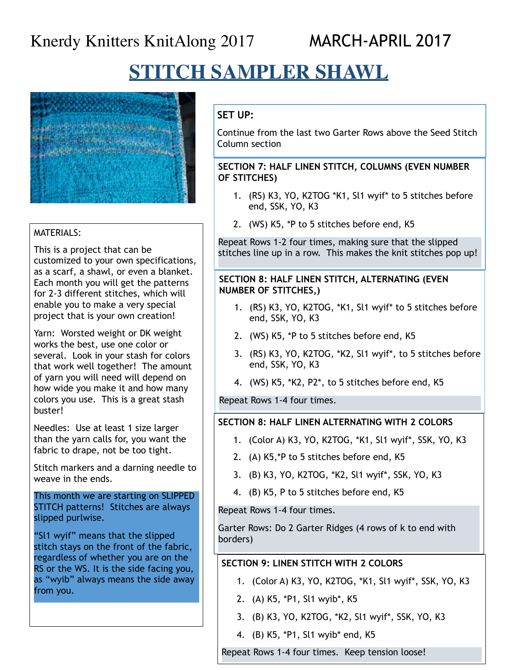**STITCH SAMPLER SHAWL**



## MATERIALS:

this is a project that can be<br>customized to your own specifications, as a scarf, a shawl, or even a blanket.<br>Fash month you will get the patterns for 2-3 different stitches, which will This is a project that can be Each month you will get the patterns enable you to make a very special project that is your own creation!

Yarn: Worsted weight or DK weight works the best, use one color or several. Look in your stash for colors that work well together! The amount of yarn you will need will depend on how wide you make it and how many colors you use. This is a great stash buster!

Needles: Use at least 1 size larger than the yarn calls for, you want the fabric to drape, not be too tight.

Stitch markers and a darning needle to weave in the ends.

This month we are starting on SLIPPED STITCH patterns! Stitches are always slipped purlwise.

"Sl1 wyif" means that the slipped stitch stays on the front of the fabric, regardless of whether you are on the RS or the WS. It is the side facing you, as "wyib" always means the side away from you.

# **SET UP:**

Continue from the last two Garter Rows above the Seed Stitch Column section

### **SECTION 7: HALF LINEN STITCH, COLUMNS (EVEN NUMBER OF STITCHES)**

- 1. (RS) K3, YO, K2TOG \*K1, Sl1 wyif\* to 5 stitches before end, SSK, YO, K3
- 2. (WS) K5, \*P to 5 stitches before end, K5

Repeat Rows 1-2 four times, making sure that the slipped stitches line up in a row. This makes the knit stitches pop up!

## **SECTION 8: HALF LINEN STITCH, ALTERNATING (EVEN NUMBER OF STITCHES,)**

- 1. (RS) K3, YO, K2TOG, \*K1, Sl1 wyif\* to 5 stitches before end, SSK, YO, K3
- 2. (WS) K5, \*P to 5 stitches before end, K5
- 3. (RS) K3, YO, K2TOG, \*K2, Sl1 wyif\*, to 5 stitches before end, SSK, YO, K3
- 4. (WS) K5, \*K2, P2\*, to 5 stitches before end, K5

Repeat Rows 1-4 four times.

# **SECTION 8: HALF LINEN ALTERNATING WITH 2 COLORS**

- 1. (Color A) K3, YO, K2TOG, \*K1, Sl1 wyif\*, SSK, YO, K3
- 2. (A) K5,\*P to 5 stitches before end, K5
- 3. (B) K3, YO, K2TOG, \*K2, Sl1 wyif\*, SSK, YO, K3
- 4. (B) K5, P to 5 stitches before end, K5

Repeat Rows 1-4 four times.

Garter Rows: Do 2 Garter Ridges (4 rows of k to end with borders)

# **SECTION 9: LINEN STITCH WITH 2 COLORS**

- 1. (Color A) K3, YO, K2TOG, \*K1, Sl1 wyif\*, SSK, YO, K3
- 2. (A) K5, \*P1, Sl1 wyib\*, K5
- 3. (B) K3, YO, K2TOG, \*K2, Sl1 wyif\*, SSK, YO, K3
- 4. (B) K5, \*P1, Sl1 wyib\* end, K5

Repeat Rows 1-4 four times. Keep tension loose!